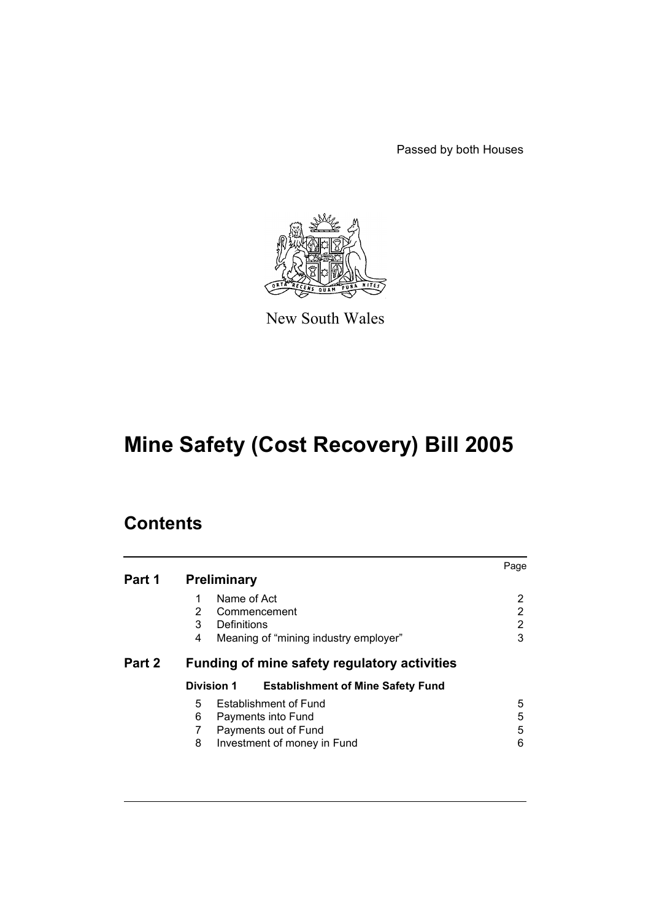Passed by both Houses



New South Wales

# **Mine Safety (Cost Recovery) Bill 2005**

# **Contents**

| <b>Preliminary</b>                                                                                                       | Page             |  |  |
|--------------------------------------------------------------------------------------------------------------------------|------------------|--|--|
| Name of Act<br>$\overline{2}$<br>Commencement<br>3<br>Definitions<br>Meaning of "mining industry employer"<br>4          | 2<br>2<br>2<br>3 |  |  |
| Part 2<br>Funding of mine safety regulatory activities                                                                   |                  |  |  |
| Division 1<br><b>Establishment of Mine Safety Fund</b>                                                                   |                  |  |  |
| <b>Establishment of Fund</b><br>5<br>6<br>Payments into Fund<br>Payments out of Fund<br>8<br>Investment of money in Fund | 5<br>5<br>5<br>6 |  |  |
|                                                                                                                          |                  |  |  |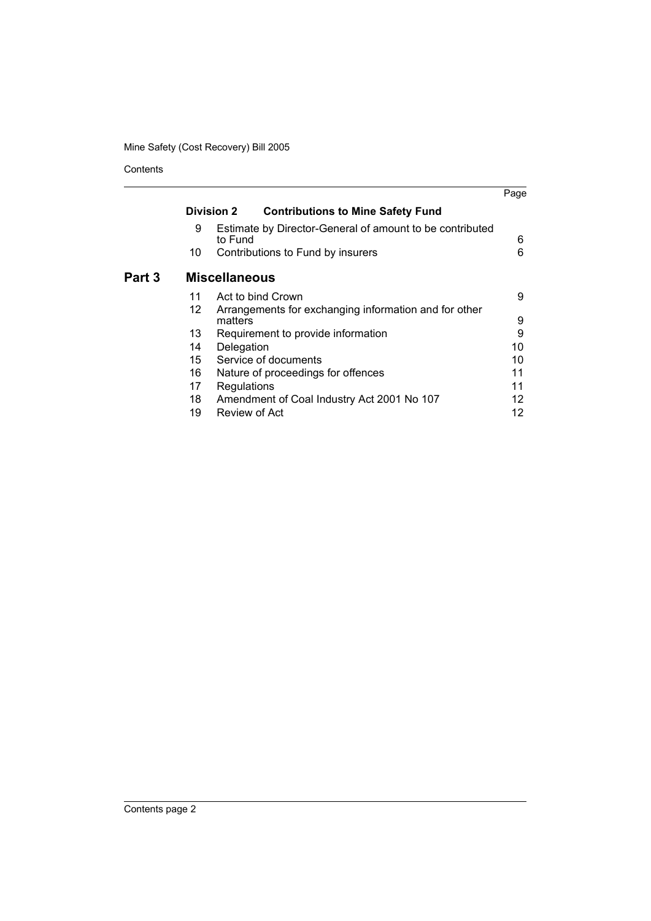# Mine Safety (Cost Recovery) Bill 2005

Contents

|        |                   |                                                                     | Page |
|--------|-------------------|---------------------------------------------------------------------|------|
|        | <b>Division 2</b> | <b>Contributions to Mine Safety Fund</b>                            |      |
|        | 9                 | Estimate by Director-General of amount to be contributed<br>to Fund | 6    |
|        | 10                | Contributions to Fund by insurers                                   | 6    |
| Part 3 |                   | <b>Miscellaneous</b>                                                |      |
|        | 11                | Act to bind Crown                                                   | 9    |
|        | 12                | Arrangements for exchanging information and for other<br>matters    | 9    |
|        | 13                | Requirement to provide information                                  | 9    |
|        | 14                | Delegation                                                          | 10   |
|        | 15                | Service of documents                                                | 10   |
|        | 16                | Nature of proceedings for offences                                  | 11   |
|        | 17                | Regulations                                                         | 11   |
|        | 18                | Amendment of Coal Industry Act 2001 No 107                          | 12   |
|        | 19                | Review of Act                                                       | 12   |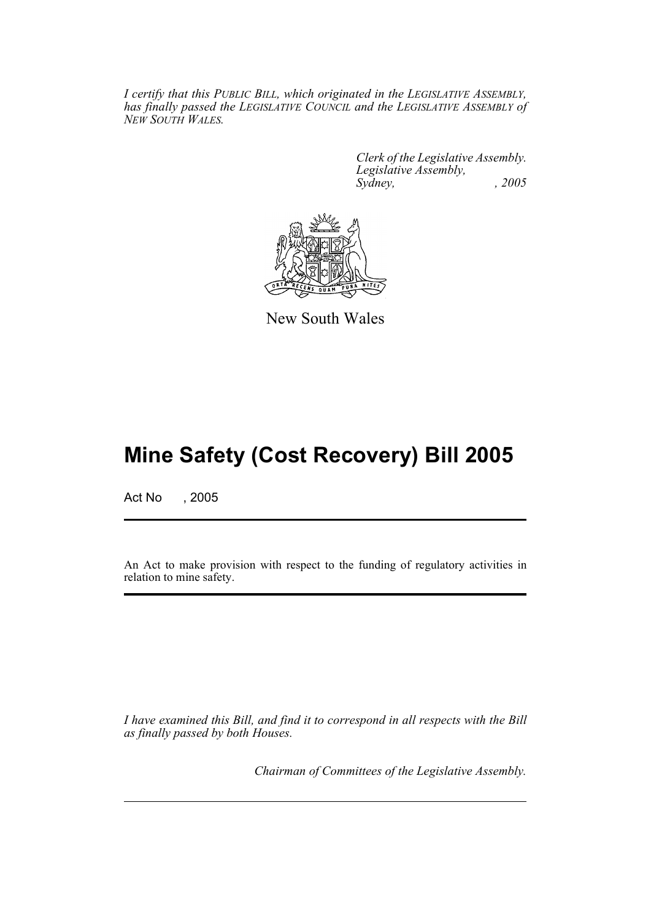*I certify that this PUBLIC BILL, which originated in the LEGISLATIVE ASSEMBLY, has finally passed the LEGISLATIVE COUNCIL and the LEGISLATIVE ASSEMBLY of NEW SOUTH WALES.*

> *Clerk of the Legislative Assembly. Legislative Assembly, Sydney, , 2005*



New South Wales

# **Mine Safety (Cost Recovery) Bill 2005**

Act No , 2005

An Act to make provision with respect to the funding of regulatory activities in relation to mine safety.

*I have examined this Bill, and find it to correspond in all respects with the Bill as finally passed by both Houses.*

*Chairman of Committees of the Legislative Assembly.*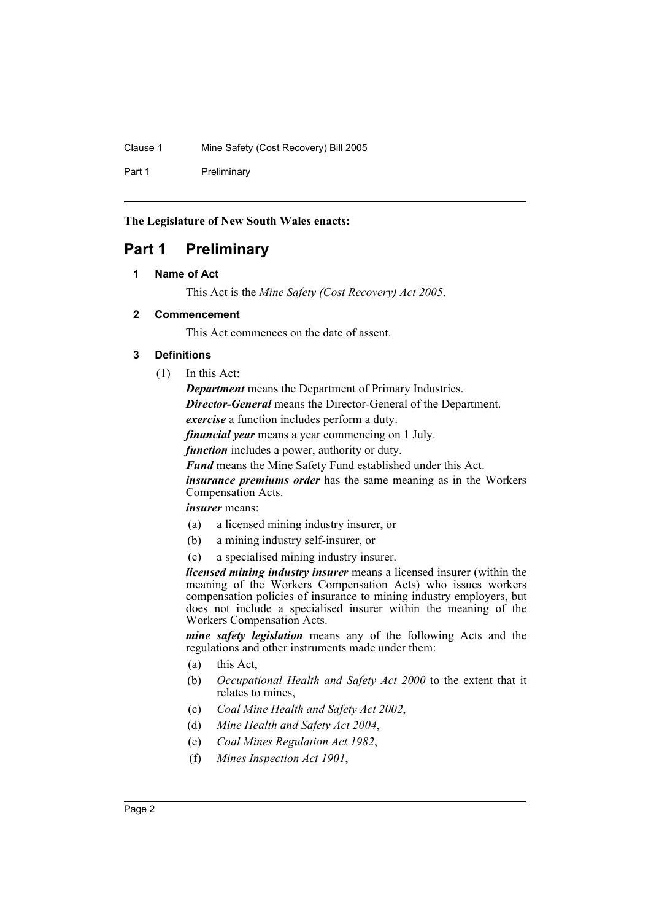### Clause 1 Mine Safety (Cost Recovery) Bill 2005

Part 1 Preliminary

**The Legislature of New South Wales enacts:**

# <span id="page-3-1"></span><span id="page-3-0"></span>**Part 1 Preliminary**

# **1 Name of Act**

This Act is the *Mine Safety (Cost Recovery) Act 2005*.

# <span id="page-3-2"></span>**2 Commencement**

This Act commences on the date of assent.

# <span id="page-3-3"></span>**3 Definitions**

(1) In this Act:

*Department* means the Department of Primary Industries.

*Director-General* means the Director-General of the Department.

*exercise* a function includes perform a duty.

*financial year* means a year commencing on 1 July.

*function* includes a power, authority or duty.

*Fund* means the Mine Safety Fund established under this Act.

*insurance premiums order* has the same meaning as in the Workers Compensation Acts.

# *insurer* means:

- (a) a licensed mining industry insurer, or
- (b) a mining industry self-insurer, or
- (c) a specialised mining industry insurer.

*licensed mining industry insurer* means a licensed insurer (within the meaning of the Workers Compensation Acts) who issues workers compensation policies of insurance to mining industry employers, but does not include a specialised insurer within the meaning of the Workers Compensation Acts.

*mine safety legislation* means any of the following Acts and the regulations and other instruments made under them:

- (a) this Act,
- (b) *Occupational Health and Safety Act 2000* to the extent that it relates to mines,
- (c) *Coal Mine Health and Safety Act 2002*,
- (d) *Mine Health and Safety Act 2004*,
- (e) *Coal Mines Regulation Act 1982*,
- (f) *Mines Inspection Act 1901*,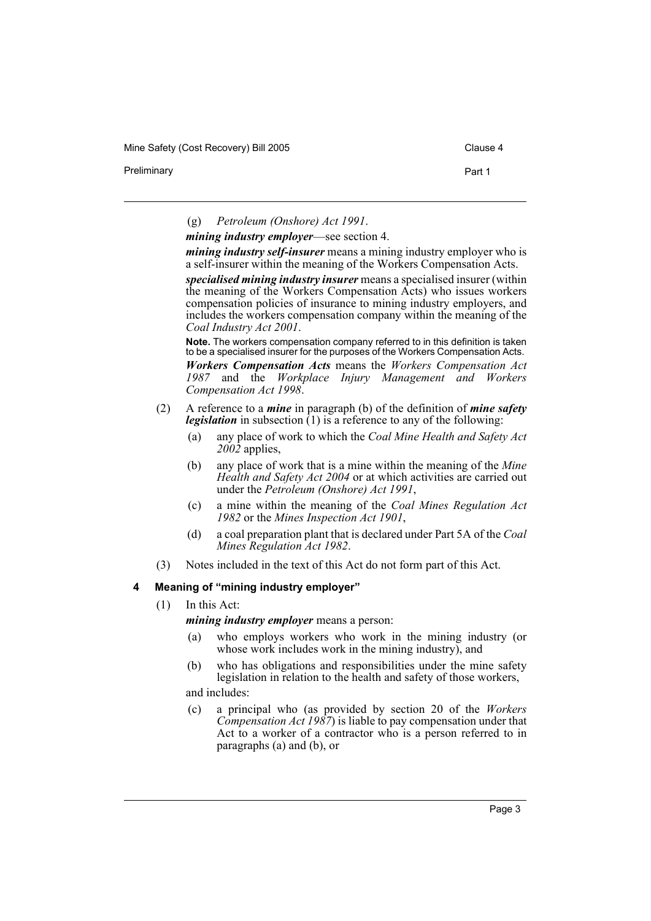Mine Safety (Cost Recovery) Bill 2005 Clause 4

Preliminary **Preliminary Part 1** 

(g) *Petroleum (Onshore) Act 1991*.

*mining industry employer*—see section 4.

*mining industry self-insurer* means a mining industry employer who is a self-insurer within the meaning of the Workers Compensation Acts.

*specialised mining industry insurer* means a specialised insurer (within the meaning of the Workers Compensation Acts) who issues workers compensation policies of insurance to mining industry employers, and includes the workers compensation company within the meaning of the *Coal Industry Act 2001*.

**Note.** The workers compensation company referred to in this definition is taken to be a specialised insurer for the purposes of the Workers Compensation Acts.

*Workers Compensation Acts* means the *Workers Compensation Act 1987* and the *Workplace Injury Management and Workers Compensation Act 1998*.

- (2) A reference to a *mine* in paragraph (b) of the definition of *mine safety legislation* in subsection (1) is a reference to any of the following:
	- (a) any place of work to which the *Coal Mine Health and Safety Act 2002* applies,
	- (b) any place of work that is a mine within the meaning of the *Mine Health and Safety Act 2004* or at which activities are carried out under the *Petroleum (Onshore) Act 1991*,
	- (c) a mine within the meaning of the *Coal Mines Regulation Act 1982* or the *Mines Inspection Act 1901*,
	- (d) a coal preparation plant that is declared under Part 5A of the *Coal Mines Regulation Act 1982*.
- (3) Notes included in the text of this Act do not form part of this Act.

### <span id="page-4-0"></span>**4 Meaning of "mining industry employer"**

(1) In this Act:

*mining industry employer* means a person:

- (a) who employs workers who work in the mining industry (or whose work includes work in the mining industry), and
- (b) who has obligations and responsibilities under the mine safety legislation in relation to the health and safety of those workers,
- and includes:
- (c) a principal who (as provided by section 20 of the *Workers Compensation Act 1987*) is liable to pay compensation under that Act to a worker of a contractor who is a person referred to in paragraphs (a) and (b), or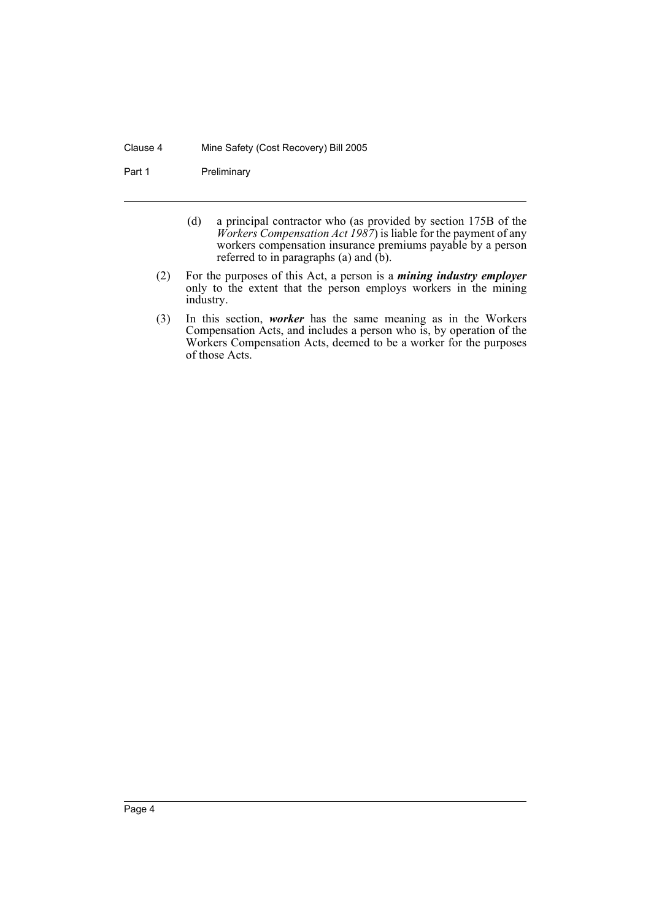#### Clause 4 Mine Safety (Cost Recovery) Bill 2005

Part 1 Preliminary

- (d) a principal contractor who (as provided by section 175B of the *Workers Compensation Act 1987*) is liable for the payment of any workers compensation insurance premiums payable by a person referred to in paragraphs (a) and  $(b)$ .
- (2) For the purposes of this Act, a person is a *mining industry employer* only to the extent that the person employs workers in the mining industry.
- (3) In this section, *worker* has the same meaning as in the Workers Compensation Acts, and includes a person who is, by operation of the Workers Compensation Acts, deemed to be a worker for the purposes of those Acts.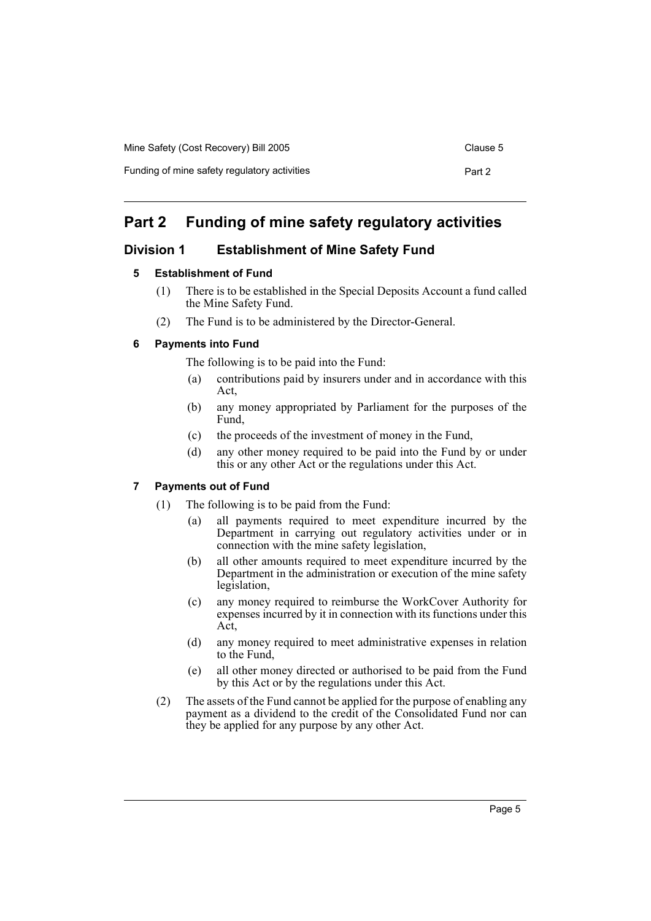| Mine Safety (Cost Recovery) Bill 2005        | Clause 5 |
|----------------------------------------------|----------|
| Funding of mine safety regulatory activities | Part 2   |

# <span id="page-6-0"></span>**Part 2 Funding of mine safety regulatory activities**

# <span id="page-6-2"></span><span id="page-6-1"></span>**Division 1 Establishment of Mine Safety Fund**

# **5 Establishment of Fund**

- (1) There is to be established in the Special Deposits Account a fund called the Mine Safety Fund.
- (2) The Fund is to be administered by the Director-General.

# <span id="page-6-3"></span>**6 Payments into Fund**

The following is to be paid into the Fund:

- (a) contributions paid by insurers under and in accordance with this Act,
- (b) any money appropriated by Parliament for the purposes of the Fund,
- (c) the proceeds of the investment of money in the Fund,
- (d) any other money required to be paid into the Fund by or under this or any other Act or the regulations under this Act.

# <span id="page-6-4"></span>**7 Payments out of Fund**

- (1) The following is to be paid from the Fund:
	- (a) all payments required to meet expenditure incurred by the Department in carrying out regulatory activities under or in connection with the mine safety legislation,
	- (b) all other amounts required to meet expenditure incurred by the Department in the administration or execution of the mine safety legislation,
	- (c) any money required to reimburse the WorkCover Authority for expenses incurred by it in connection with its functions under this Act,
	- (d) any money required to meet administrative expenses in relation to the Fund,
	- (e) all other money directed or authorised to be paid from the Fund by this Act or by the regulations under this Act.
- (2) The assets of the Fund cannot be applied for the purpose of enabling any payment as a dividend to the credit of the Consolidated Fund nor can they be applied for any purpose by any other Act.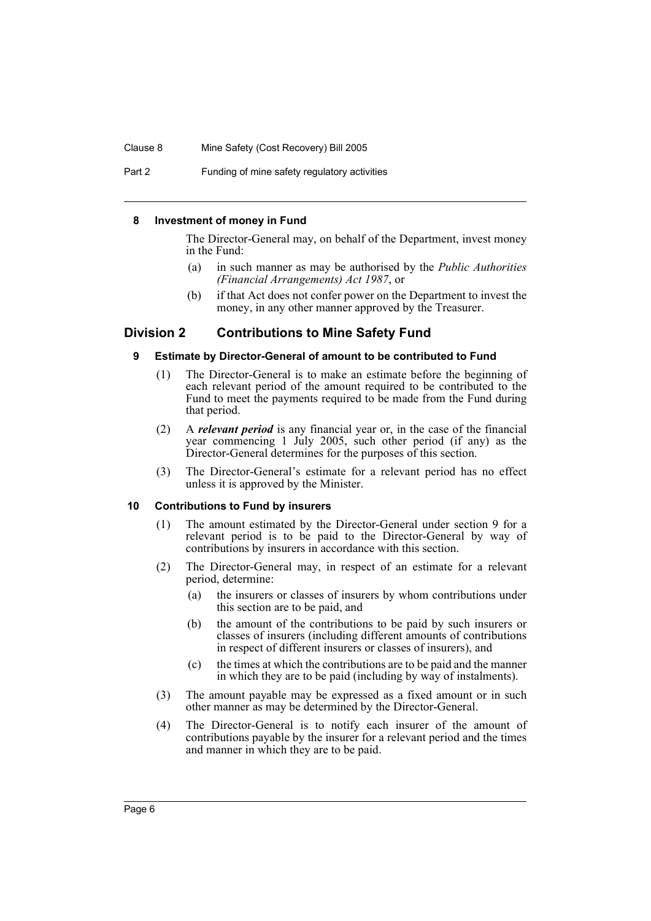#### Clause 8 Mine Safety (Cost Recovery) Bill 2005

Part 2 Funding of mine safety regulatory activities

#### <span id="page-7-0"></span>**8 Investment of money in Fund**

The Director-General may, on behalf of the Department, invest money in the Fund:

- (a) in such manner as may be authorised by the *Public Authorities (Financial Arrangements) Act 1987*, or
- (b) if that Act does not confer power on the Department to invest the money, in any other manner approved by the Treasurer.

# <span id="page-7-2"></span><span id="page-7-1"></span>**Division 2 Contributions to Mine Safety Fund**

#### **9 Estimate by Director-General of amount to be contributed to Fund**

- (1) The Director-General is to make an estimate before the beginning of each relevant period of the amount required to be contributed to the Fund to meet the payments required to be made from the Fund during that period.
- (2) A *relevant period* is any financial year or, in the case of the financial year commencing 1 July 2005, such other period (if any) as the Director-General determines for the purposes of this section.
- (3) The Director-General's estimate for a relevant period has no effect unless it is approved by the Minister.

### <span id="page-7-3"></span>**10 Contributions to Fund by insurers**

- (1) The amount estimated by the Director-General under section 9 for a relevant period is to be paid to the Director-General by way of contributions by insurers in accordance with this section.
- (2) The Director-General may, in respect of an estimate for a relevant period, determine:
	- (a) the insurers or classes of insurers by whom contributions under this section are to be paid, and
	- (b) the amount of the contributions to be paid by such insurers or classes of insurers (including different amounts of contributions in respect of different insurers or classes of insurers), and
	- (c) the times at which the contributions are to be paid and the manner in which they are to be paid (including by way of instalments).
- (3) The amount payable may be expressed as a fixed amount or in such other manner as may be determined by the Director-General.
- (4) The Director-General is to notify each insurer of the amount of contributions payable by the insurer for a relevant period and the times and manner in which they are to be paid.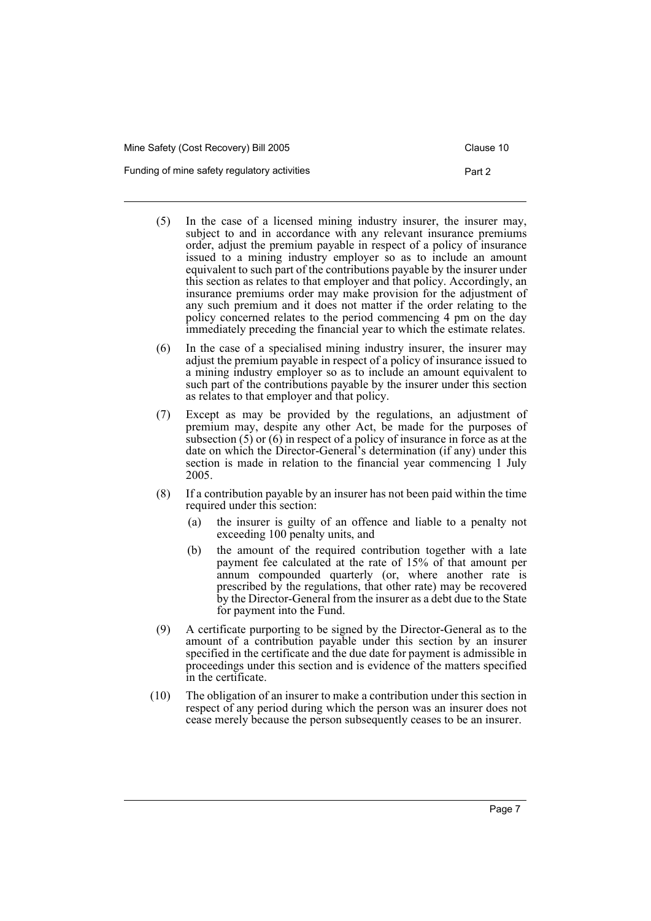| Mine Safety (Cost Recovery) Bill 2005        | Clause 10 |
|----------------------------------------------|-----------|
| Funding of mine safety regulatory activities | Part 2    |

- (5) In the case of a licensed mining industry insurer, the insurer may, subject to and in accordance with any relevant insurance premiums order, adjust the premium payable in respect of a policy of insurance issued to a mining industry employer so as to include an amount equivalent to such part of the contributions payable by the insurer under this section as relates to that employer and that policy. Accordingly, an insurance premiums order may make provision for the adjustment of any such premium and it does not matter if the order relating to the policy concerned relates to the period commencing 4 pm on the day immediately preceding the financial year to which the estimate relates.
- (6) In the case of a specialised mining industry insurer, the insurer may adjust the premium payable in respect of a policy of insurance issued to a mining industry employer so as to include an amount equivalent to such part of the contributions payable by the insurer under this section as relates to that employer and that policy.
- (7) Except as may be provided by the regulations, an adjustment of premium may, despite any other Act, be made for the purposes of subsection  $(5)$  or  $(6)$  in respect of a policy of insurance in force as at the date on which the Director-General's determination (if any) under this section is made in relation to the financial year commencing 1 July 2005.
- (8) If a contribution payable by an insurer has not been paid within the time required under this section:
	- (a) the insurer is guilty of an offence and liable to a penalty not exceeding 100 penalty units, and
	- (b) the amount of the required contribution together with a late payment fee calculated at the rate of 15% of that amount per annum compounded quarterly (or, where another rate is prescribed by the regulations, that other rate) may be recovered by the Director-General from the insurer as a debt due to the State for payment into the Fund.
- (9) A certificate purporting to be signed by the Director-General as to the amount of a contribution payable under this section by an insurer specified in the certificate and the due date for payment is admissible in proceedings under this section and is evidence of the matters specified in the certificate.
- (10) The obligation of an insurer to make a contribution under this section in respect of any period during which the person was an insurer does not cease merely because the person subsequently ceases to be an insurer.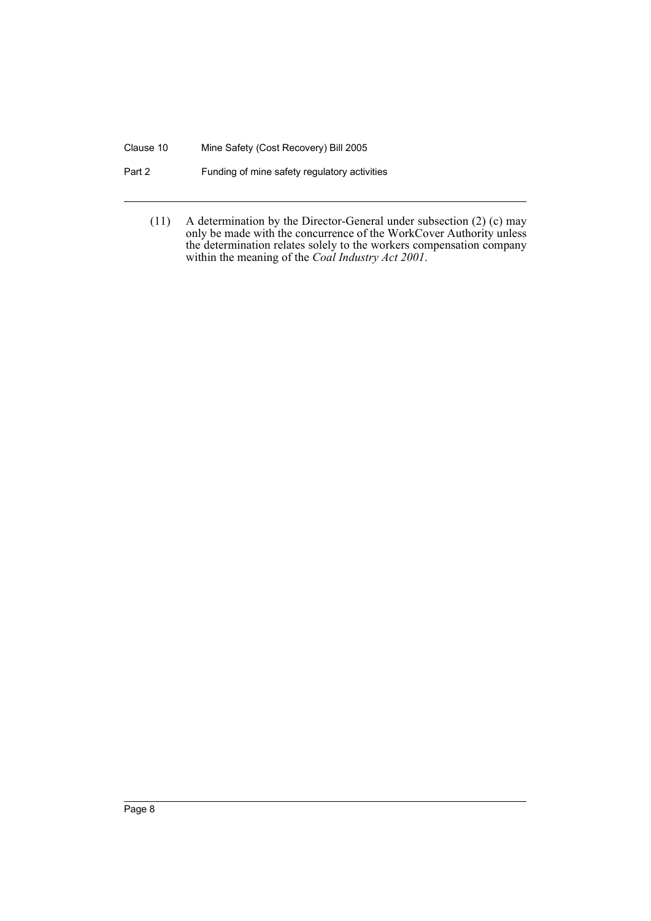# Clause 10 Mine Safety (Cost Recovery) Bill 2005

# Part 2 Funding of mine safety regulatory activities

(11) A determination by the Director-General under subsection (2) (c) may only be made with the concurrence of the WorkCover Authority unless the determination relates solely to the workers compensation company within the meaning of the *Coal Industry Act 2001*.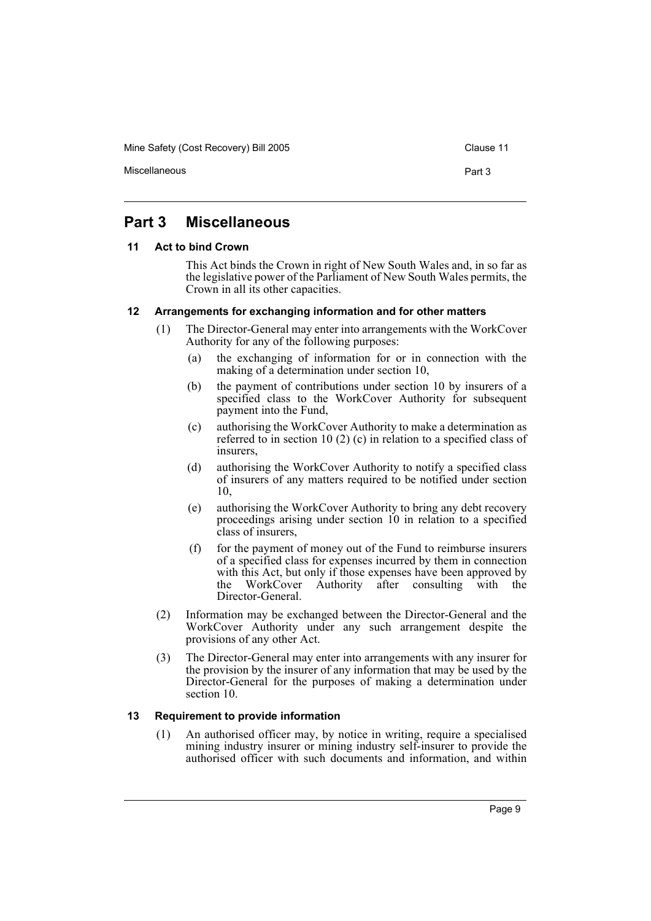Mine Safety (Cost Recovery) Bill 2005 Clause 11

Miscellaneous **Part 3** 

# <span id="page-10-0"></span>**Part 3 Miscellaneous**

# <span id="page-10-1"></span>**11 Act to bind Crown**

This Act binds the Crown in right of New South Wales and, in so far as the legislative power of the Parliament of New South Wales permits, the Crown in all its other capacities.

# <span id="page-10-2"></span>**12 Arrangements for exchanging information and for other matters**

- (1) The Director-General may enter into arrangements with the WorkCover Authority for any of the following purposes:
	- (a) the exchanging of information for or in connection with the making of a determination under section 10,
	- (b) the payment of contributions under section 10 by insurers of a specified class to the WorkCover Authority for subsequent payment into the Fund,
	- (c) authorising the WorkCover Authority to make a determination as referred to in section 10 (2) (c) in relation to a specified class of insurers,
	- (d) authorising the WorkCover Authority to notify a specified class of insurers of any matters required to be notified under section 10,
	- (e) authorising the WorkCover Authority to bring any debt recovery proceedings arising under section 10 in relation to a specified class of insurers,
	- (f) for the payment of money out of the Fund to reimburse insurers of a specified class for expenses incurred by them in connection with this Act, but only if those expenses have been approved by<br>the WorkCover Authority after consulting with the WorkCover Authority after consulting with the Director-General.
- (2) Information may be exchanged between the Director-General and the WorkCover Authority under any such arrangement despite the provisions of any other Act.
- (3) The Director-General may enter into arrangements with any insurer for the provision by the insurer of any information that may be used by the Director-General for the purposes of making a determination under section 10.

### <span id="page-10-3"></span>**13 Requirement to provide information**

(1) An authorised officer may, by notice in writing, require a specialised mining industry insurer or mining industry self-insurer to provide the authorised officer with such documents and information, and within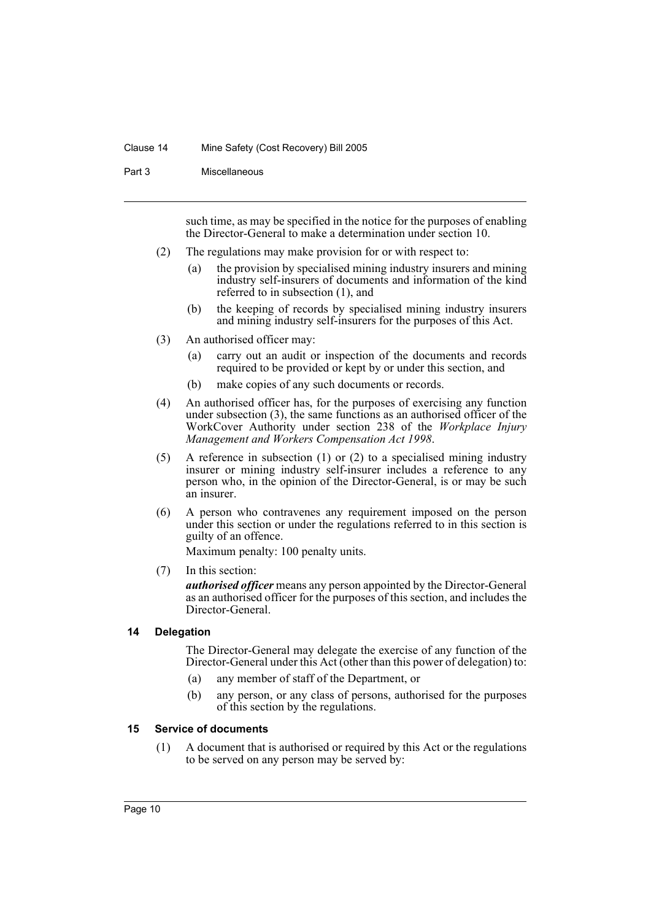### Clause 14 Mine Safety (Cost Recovery) Bill 2005

Part 3 Miscellaneous

such time, as may be specified in the notice for the purposes of enabling the Director-General to make a determination under section 10.

- (2) The regulations may make provision for or with respect to:
	- (a) the provision by specialised mining industry insurers and mining industry self-insurers of documents and information of the kind referred to in subsection (1), and
	- (b) the keeping of records by specialised mining industry insurers and mining industry self-insurers for the purposes of this Act.
- (3) An authorised officer may:
	- (a) carry out an audit or inspection of the documents and records required to be provided or kept by or under this section, and
	- (b) make copies of any such documents or records.
- (4) An authorised officer has, for the purposes of exercising any function under subsection (3), the same functions as an authorised officer of the WorkCover Authority under section 238 of the *Workplace Injury Management and Workers Compensation Act 1998*.
- (5) A reference in subsection (1) or (2) to a specialised mining industry insurer or mining industry self-insurer includes a reference to any person who, in the opinion of the Director-General, is or may be such an insurer.
- (6) A person who contravenes any requirement imposed on the person under this section or under the regulations referred to in this section is guilty of an offence.

Maximum penalty: 100 penalty units.

(7) In this section:

*authorised officer* means any person appointed by the Director-General as an authorised officer for the purposes of this section, and includes the Director-General.

# <span id="page-11-0"></span>**14 Delegation**

The Director-General may delegate the exercise of any function of the Director-General under this Act (other than this power of delegation) to:

- (a) any member of staff of the Department, or
- (b) any person, or any class of persons, authorised for the purposes of this section by the regulations.

# <span id="page-11-1"></span>**15 Service of documents**

(1) A document that is authorised or required by this Act or the regulations to be served on any person may be served by: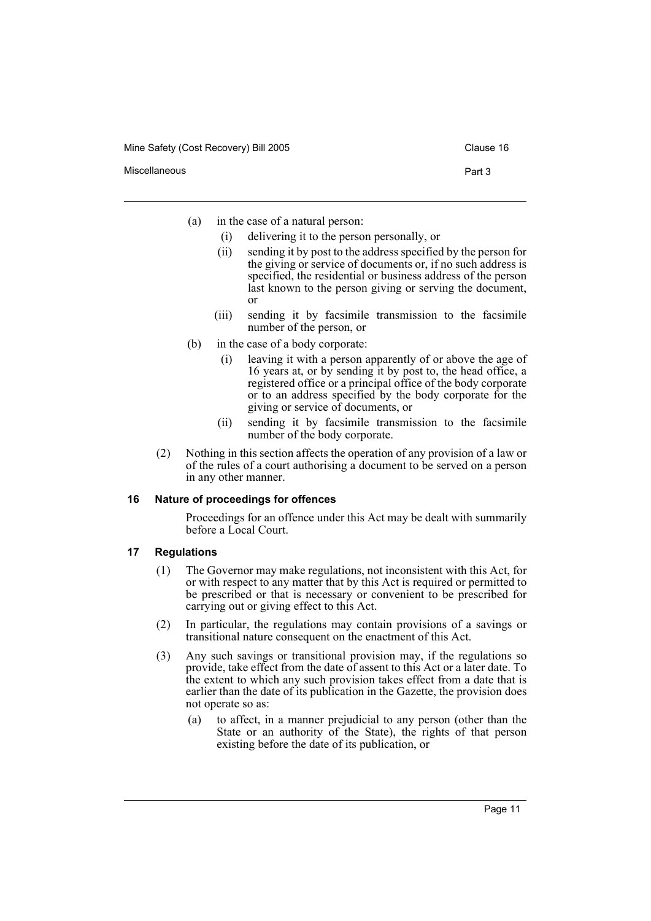- Miscellaneous **Part 3** 
	- (a) in the case of a natural person:
		- (i) delivering it to the person personally, or
		- (ii) sending it by post to the address specified by the person for the giving or service of documents or, if no such address is specified, the residential or business address of the person last known to the person giving or serving the document, or
		- (iii) sending it by facsimile transmission to the facsimile number of the person, or
	- (b) in the case of a body corporate:
		- (i) leaving it with a person apparently of or above the age of 16 years at, or by sending it by post to, the head office, a registered office or a principal office of the body corporate or to an address specified by the body corporate for the giving or service of documents, or
		- (ii) sending it by facsimile transmission to the facsimile number of the body corporate.
	- (2) Nothing in this section affects the operation of any provision of a law or of the rules of a court authorising a document to be served on a person in any other manner.

### <span id="page-12-0"></span>**16 Nature of proceedings for offences**

Proceedings for an offence under this Act may be dealt with summarily before a Local Court.

# <span id="page-12-1"></span>**17 Regulations**

- (1) The Governor may make regulations, not inconsistent with this Act, for or with respect to any matter that by this Act is required or permitted to be prescribed or that is necessary or convenient to be prescribed for carrying out or giving effect to this Act.
- (2) In particular, the regulations may contain provisions of a savings or transitional nature consequent on the enactment of this Act.
- (3) Any such savings or transitional provision may, if the regulations so provide, take effect from the date of assent to this Act or a later date. To the extent to which any such provision takes effect from a date that is earlier than the date of its publication in the Gazette, the provision does not operate so as:
	- (a) to affect, in a manner prejudicial to any person (other than the State or an authority of the State), the rights of that person existing before the date of its publication, or